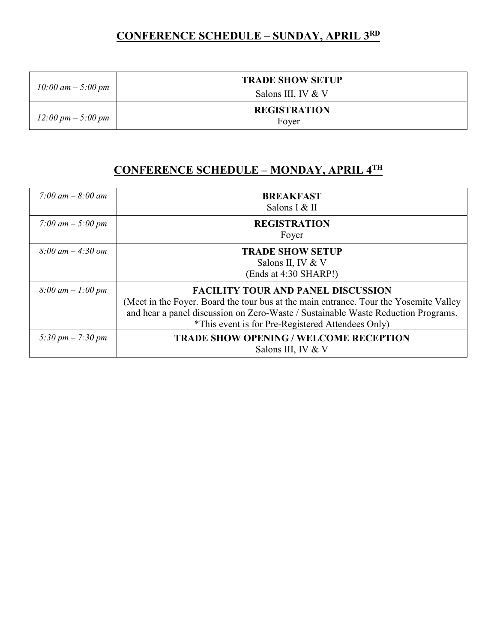#### **CONFERENCE SCHEDULE – SUNDAY, APRIL 3RD**

| $10:00$ am $-5:00$ pm                | <b>TRADE SHOW SETUP</b>       |
|--------------------------------------|-------------------------------|
|                                      | Salons III, IV $&\mathcal{V}$ |
| $12:00 \text{ pm} - 5:00 \text{ pm}$ | <b>REGISTRATION</b><br>Fover  |

#### **CONFERENCE SCHEDULE – MONDAY, APRIL 4TH**

| 7:00 am $-8:00$ am                  | <b>BREAKFAST</b><br>Salons I & II                                                                                                                                                                                                                                            |
|-------------------------------------|------------------------------------------------------------------------------------------------------------------------------------------------------------------------------------------------------------------------------------------------------------------------------|
| 7:00 am $-$ 5:00 pm                 | <b>REGISTRATION</b><br>Foyer                                                                                                                                                                                                                                                 |
| $8:00 \, am - 4:30 \, om$           | <b>TRADE SHOW SETUP</b><br>Salons II, IV & V<br>(Ends at 4:30 SHARP!)                                                                                                                                                                                                        |
| $8:00 \text{ am} - 1:00 \text{ pm}$ | <b>FACILITY TOUR AND PANEL DISCUSSION</b><br>(Meet in the Foyer. Board the tour bus at the main entrance. Tour the Yosemite Valley<br>and hear a panel discussion on Zero-Waste / Sustainable Waste Reduction Programs.<br>*This event is for Pre-Registered Attendees Only) |
| 5:30 pm $- 7$ :30 pm                | <b>TRADE SHOW OPENING / WELCOME RECEPTION</b><br>Salons III, IV & V                                                                                                                                                                                                          |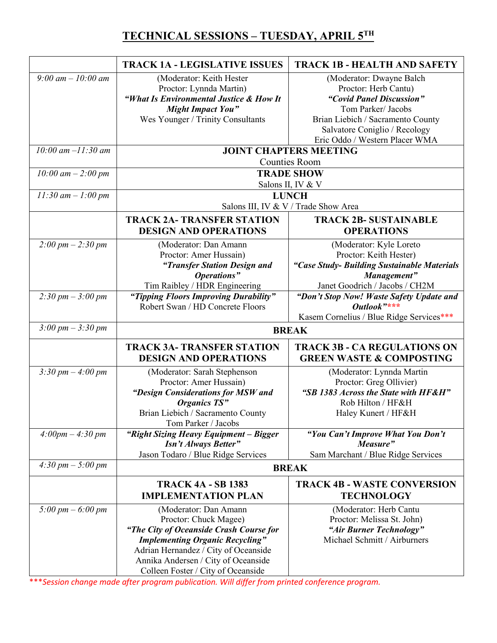## **TECHNICAL SESSIONS – TUESDAY, APRIL 5TH**

|                                         | <b>TRACK 1A - LEGISLATIVE ISSUES</b>                                                                                                                                                                                                                     | <b>TRACK 1B - HEALTH AND SAFETY</b>                                                                                                                                      |  |
|-----------------------------------------|----------------------------------------------------------------------------------------------------------------------------------------------------------------------------------------------------------------------------------------------------------|--------------------------------------------------------------------------------------------------------------------------------------------------------------------------|--|
| 9:00 am $-10:00$ am                     | (Moderator: Keith Hester<br>Proctor: Lynnda Martin)<br>"What Is Environmental Justice & How It<br><b>Might Impact You"</b><br>Wes Younger / Trinity Consultants                                                                                          | (Moderator: Dwayne Balch<br>Proctor: Herb Cantu)<br>"Covid Panel Discussion"<br>Tom Parker/ Jacobs<br>Brian Liebich / Sacramento County<br>Salvatore Coniglio / Recology |  |
|                                         |                                                                                                                                                                                                                                                          | Eric Oddo / Western Placer WMA                                                                                                                                           |  |
| $10:00$ am $-11:30$ am                  |                                                                                                                                                                                                                                                          | <b>JOINT CHAPTERS MEETING</b><br><b>Counties Room</b>                                                                                                                    |  |
| $10:00$ am $- 2:00$ pm                  | <b>TRADE SHOW</b>                                                                                                                                                                                                                                        |                                                                                                                                                                          |  |
| $11:30$ am $- 1:00$ pm                  | Salons II, IV & V<br><b>LUNCH</b>                                                                                                                                                                                                                        |                                                                                                                                                                          |  |
|                                         | Salons III, IV & V / Trade Show Area                                                                                                                                                                                                                     |                                                                                                                                                                          |  |
|                                         | <b>TRACK 2A- TRANSFER STATION</b><br><b>DESIGN AND OPERATIONS</b>                                                                                                                                                                                        | <b>TRACK 2B- SUSTAINABLE</b><br><b>OPERATIONS</b>                                                                                                                        |  |
| $2:00 \, \text{pm} - 2:30 \, \text{pm}$ | (Moderator: Dan Amann<br>Proctor: Amer Hussain)<br>"Transfer Station Design and<br>Operations"<br>Tim Raibley / HDR Engineering                                                                                                                          | (Moderator: Kyle Loreto<br>Proctor: Keith Hester)<br>"Case Study- Building Sustainable Materials<br>Management"<br>Janet Goodrich / Jacobs / CH2M                        |  |
| $2:30 \, \text{pm} - 3:00 \, \text{pm}$ | "Tipping Floors Improving Durability"<br>Robert Swan / HD Concrete Floors                                                                                                                                                                                | "Don't Stop Now! Waste Safety Update and<br>Outlook"***<br>Kasem Cornelius / Blue Ridge Services***                                                                      |  |
| $3:00 \, \text{pm} - 3:30 \, \text{pm}$ | <b>BREAK</b>                                                                                                                                                                                                                                             |                                                                                                                                                                          |  |
|                                         | <b>TRACK 3A- TRANSFER STATION</b><br><b>DESIGN AND OPERATIONS</b>                                                                                                                                                                                        | <b>TRACK 3B - CA REGULATIONS ON</b><br><b>GREEN WASTE &amp; COMPOSTING</b>                                                                                               |  |
| 3:30 pm $-$ 4:00 pm                     | (Moderator: Sarah Stephenson<br>Proctor: Amer Hussain)<br>"Design Considerations for MSW and<br><b>Organics TS"</b><br>Brian Liebich / Sacramento County<br>Tom Parker / Jacobs                                                                          | (Moderator: Lynnda Martin<br>Proctor: Greg Ollivier)<br>"SB 1383 Across the State with HF&H"<br>Rob Hilton / HF&H<br>Haley Kunert / HF&H                                 |  |
| $4:00pm-4:30pm$                         | "Right Sizing Heavy Equipment - Bigger<br><b>Isn't Always Better"</b><br>Jason Todaro / Blue Ridge Services                                                                                                                                              | "You Can't Improve What You Don't<br>Measure"<br>Sam Marchant / Blue Ridge Services                                                                                      |  |
| $4:30 \, \text{pm} - 5:00 \, \text{pm}$ |                                                                                                                                                                                                                                                          | <b>BREAK</b>                                                                                                                                                             |  |
|                                         | <b>TRACK 4A - SB 1383</b><br><b>IMPLEMENTATION PLAN</b>                                                                                                                                                                                                  | <b>TRACK 4B - WASTE CONVERSION</b><br><b>TECHNOLOGY</b>                                                                                                                  |  |
| $5:00 \, \text{pm} - 6:00 \, \text{pm}$ | (Moderator: Dan Amann<br>Proctor: Chuck Magee)<br>"The City of Oceanside Crash Course for<br><b>Implementing Organic Recycling"</b><br>Adrian Hernandez / City of Oceanside<br>Annika Andersen / City of Oceanside<br>Colleen Foster / City of Oceanside | (Moderator: Herb Cantu<br>Proctor: Melissa St. John)<br>"Air Burner Technology"<br>Michael Schmitt / Airburners                                                          |  |

\*\*\**Session change made after program publication. Will differ from printed conference program.*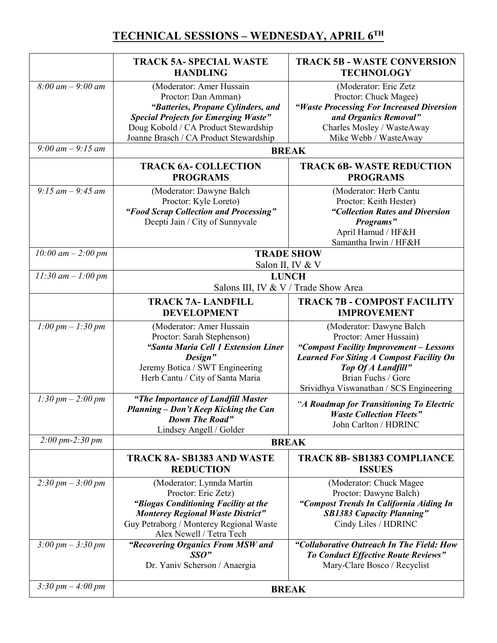## **TECHNICAL SESSIONS – WEDNESDAY, APRIL 6TH**

|                                         | <b>TRACK 5A- SPECIAL WASTE</b><br><b>HANDLING</b>                                                                                                                                                                      | <b>TRACK 5B - WASTE CONVERSION</b><br><b>TECHNOLOGY</b>                                                                                                                                                                                 |
|-----------------------------------------|------------------------------------------------------------------------------------------------------------------------------------------------------------------------------------------------------------------------|-----------------------------------------------------------------------------------------------------------------------------------------------------------------------------------------------------------------------------------------|
| $8:00 \text{ am} - 9:00 \text{ am}$     | (Moderator: Amer Hussain<br>Proctor: Dan Amman)<br>"Batteries, Propane Cylinders, and<br><b>Special Projects for Emerging Waste"</b><br>Doug Kobold / CA Product Stewardship<br>Joanne Brasch / CA Product Stewardship | (Moderator: Eric Zetz<br>Proctor: Chuck Magee)<br>"Waste Processing For Increased Diversion<br>and Organics Removal"<br>Charles Mosley / WasteAway<br>Mike Webb / WasteAway                                                             |
| 9:00 am $-$ 9:15 am                     | <b>BREAK</b>                                                                                                                                                                                                           |                                                                                                                                                                                                                                         |
|                                         | <b>TRACK 6A- COLLECTION</b><br><b>PROGRAMS</b>                                                                                                                                                                         | <b>TRACK 6B-WASTE REDUCTION</b><br><b>PROGRAMS</b>                                                                                                                                                                                      |
| $9:15$ am $-9:45$ am                    | (Moderator: Dawyne Balch<br>Proctor: Kyle Loreto)<br>"Food Scrap Collection and Processing"<br>Deepti Jain / City of Sunnyvale                                                                                         | (Moderator: Herb Cantu<br>Proctor: Keith Hester)<br>"Collection Rates and Diversion<br>Programs"<br>April Hamud / HF&H<br>Samantha Irwin / HF&H                                                                                         |
| 10:00 am $-$ 2:00 pm                    | <b>TRADE SHOW</b><br>Salon II, IV & V                                                                                                                                                                                  |                                                                                                                                                                                                                                         |
| $11:30$ am $-1:00$ pm                   | <b>LUNCH</b><br>Salons III, IV & V / Trade Show Area                                                                                                                                                                   |                                                                                                                                                                                                                                         |
|                                         | <b>TRACK 7A-LANDFILL</b><br><b>DEVELOPMENT</b>                                                                                                                                                                         | <b>TRACK 7B - COMPOST FACILITY</b><br><b>IMPROVEMENT</b>                                                                                                                                                                                |
| $1:00 \, pm - 1:30 \, pm$               | (Moderator: Amer Hussain<br>Proctor: Sarah Stephenson)<br>"Santa Maria Cell 1 Extension Liner<br>Design"<br>Jeremy Botica / SWT Engineering<br>Herb Cantu / City of Santa Maria                                        | (Moderator: Dawyne Balch<br>Proctor: Amer Hussain)<br>"Compost Facility Improvement - Lessons<br><b>Learned For Siting A Compost Facility On</b><br>Top Of A Landfill"<br>Brian Fuchs / Gore<br>Srividhya Viswanathan / SCS Engineering |
| $1:30 \, \text{pm} - 2:00 \, \text{pm}$ | "The Importance of Landfill Master<br>Planning – Don't Keep Kicking the Can<br>Down The Road"<br>Lindsey Angell / Golder                                                                                               | "A Roadmap for Transitioning To Electric<br><b>Waste Collection Fleets"</b><br>John Carlton / HDRINC                                                                                                                                    |
| $2:00 \, \text{pm-2}:30 \, \text{pm}$   |                                                                                                                                                                                                                        | <b>BREAK</b>                                                                                                                                                                                                                            |
|                                         | <b>TRACK 8A- SB1383 AND WASTE</b><br><b>REDUCTION</b>                                                                                                                                                                  | <b>TRACK 8B-SB1383 COMPLIANCE</b><br><b>ISSUES</b>                                                                                                                                                                                      |
| $2:30 \, \text{pm} - 3:00 \, \text{pm}$ | (Moderator: Lynnda Martin<br>Proctor: Eric Zetz)<br>"Biogas Conditioning Facility at the<br><b>Monterey Regional Waste District"</b><br>Guy Petraborg / Monterey Regional Waste<br>Alex Newell / Tetra Tech            | (Moderator: Chuck Magee<br>Proctor: Dawyne Balch)<br>"Compost Trends In California Aiding In<br><b>SB1383 Capacity Planning"</b><br>Cindy Liles / HDRINC                                                                                |
| $3:00 \, \text{pm} - 3:30 \, \text{pm}$ | "Recovering Organics From MSW and<br>$SSO$ "<br>Dr. Yaniv Scherson / Anaergia                                                                                                                                          | "Collaborative Outreach In The Field: How<br>To Conduct Effective Route Reviews"<br>Mary-Clare Bosco / Recyclist                                                                                                                        |
| 3:30 pm $-$ 4:00 pm                     | <b>BREAK</b>                                                                                                                                                                                                           |                                                                                                                                                                                                                                         |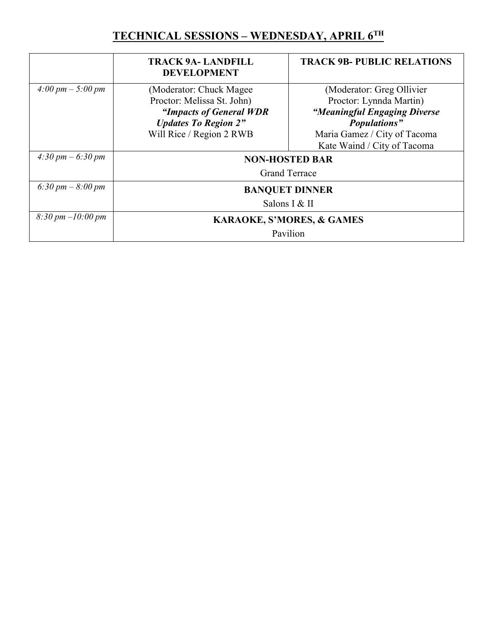## **TECHNICAL SESSIONS – WEDNESDAY, APRIL 6TH**

|                                         | <b>TRACK 9A- LANDFILL</b><br><b>DEVELOPMENT</b>                                    | <b>TRACK 9B- PUBLIC RELATIONS</b>                                            |
|-----------------------------------------|------------------------------------------------------------------------------------|------------------------------------------------------------------------------|
| $4:00 \, \text{pm} - 5:00 \, \text{pm}$ | (Moderator: Chuck Magee)<br>Proctor: Melissa St. John)                             | (Moderator: Greg Ollivier<br>Proctor: Lynnda Martin)                         |
|                                         | "Impacts of General WDR<br><b>Updates To Region 2"</b><br>Will Rice / Region 2 RWB | "Meaningful Engaging Diverse<br>Populations"<br>Maria Gamez / City of Tacoma |
| 4:30 pm $-6:30$ pm                      | Kate Waind / City of Tacoma<br><b>NON-HOSTED BAR</b><br><b>Grand Terrace</b>       |                                                                              |
| 6:30 pm $-8:00$ pm                      | <b>BANQUET DINNER</b><br>Salons I & II                                             |                                                                              |
| $8:30 \, \text{pm} -10:00 \, \text{pm}$ | <b>KARAOKE, S'MORES, &amp; GAMES</b><br>Pavilion                                   |                                                                              |